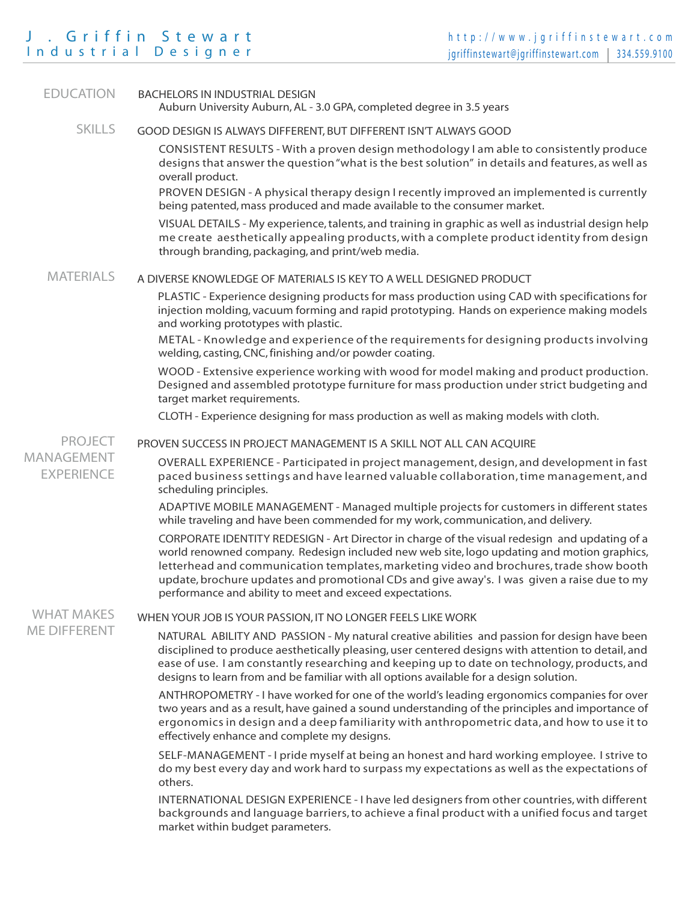# J . Griffin Stewart Industrial Designer

| <b>EDUCATION</b>                                  | <b>BACHELORS IN INDUSTRIAL DESIGN</b><br>Auburn University Auburn, AL - 3.0 GPA, completed degree in 3.5 years                                                                                                                                                                                                                                                                                                                                    |  |  |  |  |
|---------------------------------------------------|---------------------------------------------------------------------------------------------------------------------------------------------------------------------------------------------------------------------------------------------------------------------------------------------------------------------------------------------------------------------------------------------------------------------------------------------------|--|--|--|--|
| <b>SKILLS</b>                                     | GOOD DESIGN IS ALWAYS DIFFERENT, BUT DIFFERENT ISN'T ALWAYS GOOD                                                                                                                                                                                                                                                                                                                                                                                  |  |  |  |  |
|                                                   | CONSISTENT RESULTS - With a proven design methodology I am able to consistently produce<br>designs that answer the question "what is the best solution" in details and features, as well as<br>overall product.                                                                                                                                                                                                                                   |  |  |  |  |
|                                                   | PROVEN DESIGN - A physical therapy design I recently improved an implemented is currently<br>being patented, mass produced and made available to the consumer market.                                                                                                                                                                                                                                                                             |  |  |  |  |
|                                                   | VISUAL DETAILS - My experience, talents, and training in graphic as well as industrial design help<br>me create aesthetically appealing products, with a complete product identity from design<br>through branding, packaging, and print/web media.                                                                                                                                                                                               |  |  |  |  |
| <b>MATERIALS</b>                                  | A DIVERSE KNOWLEDGE OF MATERIALS IS KEY TO A WELL DESIGNED PRODUCT                                                                                                                                                                                                                                                                                                                                                                                |  |  |  |  |
|                                                   | PLASTIC - Experience designing products for mass production using CAD with specifications for<br>injection molding, vacuum forming and rapid prototyping. Hands on experience making models<br>and working prototypes with plastic.                                                                                                                                                                                                               |  |  |  |  |
|                                                   | METAL - Knowledge and experience of the requirements for designing products involving<br>welding, casting, CNC, finishing and/or powder coating.                                                                                                                                                                                                                                                                                                  |  |  |  |  |
|                                                   | WOOD - Extensive experience working with wood for model making and product production.<br>Designed and assembled prototype furniture for mass production under strict budgeting and<br>target market requirements.                                                                                                                                                                                                                                |  |  |  |  |
|                                                   | CLOTH - Experience designing for mass production as well as making models with cloth.                                                                                                                                                                                                                                                                                                                                                             |  |  |  |  |
| <b>PROJECT</b><br>MANAGEMENT<br><b>EXPERIENCE</b> | PROVEN SUCCESS IN PROJECT MANAGEMENT IS A SKILL NOT ALL CAN ACQUIRE                                                                                                                                                                                                                                                                                                                                                                               |  |  |  |  |
|                                                   | OVERALL EXPERIENCE - Participated in project management, design, and development in fast<br>paced business settings and have learned valuable collaboration, time management, and<br>scheduling principles.                                                                                                                                                                                                                                       |  |  |  |  |
|                                                   | ADAPTIVE MOBILE MANAGEMENT - Managed multiple projects for customers in different states<br>while traveling and have been commended for my work, communication, and delivery.                                                                                                                                                                                                                                                                     |  |  |  |  |
|                                                   | CORPORATE IDENTITY REDESIGN - Art Director in charge of the visual redesign and updating of a<br>world renowned company. Redesign included new web site, logo updating and motion graphics,<br>letterhead and communication templates, marketing video and brochures, trade show booth<br>update, brochure updates and promotional CDs and give away's. I was given a raise due to my<br>performance and ability to meet and exceed expectations. |  |  |  |  |
| <b>WHAT MAKES</b><br><b>ME DIFFERENT</b>          | WHEN YOUR JOB IS YOUR PASSION, IT NO LONGER FEELS LIKE WORK                                                                                                                                                                                                                                                                                                                                                                                       |  |  |  |  |
|                                                   | NATURAL ABILITY AND PASSION - My natural creative abilities and passion for design have been<br>disciplined to produce aesthetically pleasing, user centered designs with attention to detail, and<br>ease of use. I am constantly researching and keeping up to date on technology, products, and<br>designs to learn from and be familiar with all options available for a design solution.                                                     |  |  |  |  |
|                                                   | ANTHROPOMETRY - I have worked for one of the world's leading ergonomics companies for over<br>two years and as a result, have gained a sound understanding of the principles and importance of<br>ergonomics in design and a deep familiarity with anthropometric data, and how to use it to<br>effectively enhance and complete my designs.                                                                                                      |  |  |  |  |
|                                                   | SELF-MANAGEMENT - I pride myself at being an honest and hard working employee. I strive to<br>do my best every day and work hard to surpass my expectations as well as the expectations of<br>others.                                                                                                                                                                                                                                             |  |  |  |  |
|                                                   | INTERNATIONAL DESIGN EXPERIENCE - I have led designers from other countries, with different<br>hackgrounds and language barriers to achieve a final product with a unified focus and target                                                                                                                                                                                                                                                       |  |  |  |  |

backgrounds and language barriers, to achieve a final product with a unified focus and target market within budget parameters.